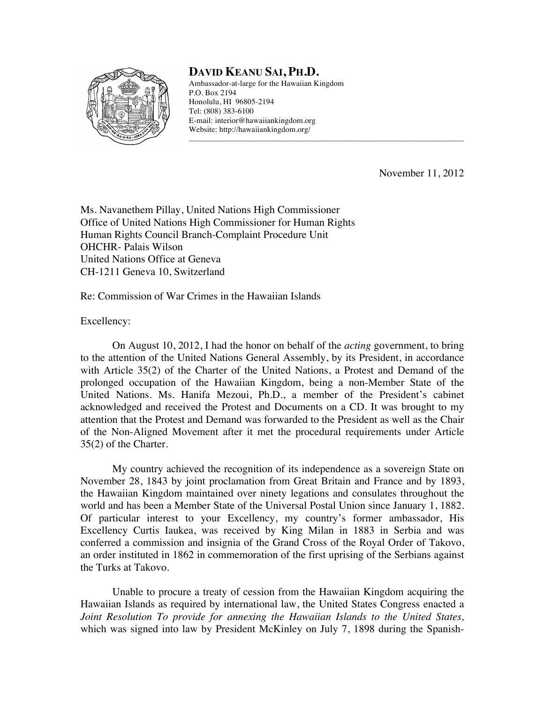

## **DAVID KEANU SAI, PH.D.**

Ambassador-at-large for the Hawaiian Kingdom P.O. Box 2194 Honolulu, HI 96805-2194 Tel: (808) 383-6100 E-mail: interior@hawaiiankingdom.org Website: http://hawaiiankingdom.org/

\_\_\_\_\_\_\_\_\_\_\_\_\_\_\_\_\_\_\_\_\_\_\_\_\_\_\_\_\_\_\_\_\_\_\_\_\_\_\_\_\_\_\_\_\_\_\_\_\_\_\_\_\_\_\_\_\_\_\_\_\_\_\_\_\_\_\_\_\_\_\_\_\_\_\_\_\_

November 11, 2012

Ms. Navanethem Pillay, United Nations High Commissioner Office of United Nations High Commissioner for Human Rights Human Rights Council Branch-Complaint Procedure Unit OHCHR- Palais Wilson United Nations Office at Geneva CH-1211 Geneva 10, Switzerland

Re: Commission of War Crimes in the Hawaiian Islands

Excellency:

On August 10, 2012, I had the honor on behalf of the *acting* government, to bring to the attention of the United Nations General Assembly, by its President, in accordance with Article 35(2) of the Charter of the United Nations, a Protest and Demand of the prolonged occupation of the Hawaiian Kingdom, being a non-Member State of the United Nations. Ms. Hanifa Mezoui, Ph.D., a member of the President's cabinet acknowledged and received the Protest and Documents on a CD. It was brought to my attention that the Protest and Demand was forwarded to the President as well as the Chair of the Non-Aligned Movement after it met the procedural requirements under Article 35(2) of the Charter.

My country achieved the recognition of its independence as a sovereign State on November 28, 1843 by joint proclamation from Great Britain and France and by 1893, the Hawaiian Kingdom maintained over ninety legations and consulates throughout the world and has been a Member State of the Universal Postal Union since January 1, 1882. Of particular interest to your Excellency, my country's former ambassador, His Excellency Curtis Iaukea, was received by King Milan in 1883 in Serbia and was conferred a commission and insignia of the Grand Cross of the Royal Order of Takovo, an order instituted in 1862 in commemoration of the first uprising of the Serbians against the Turks at Takovo.

Unable to procure a treaty of cession from the Hawaiian Kingdom acquiring the Hawaiian Islands as required by international law, the United States Congress enacted a *Joint Resolution To provide for annexing the Hawaiian Islands to the United States,* which was signed into law by President McKinley on July 7, 1898 during the Spanish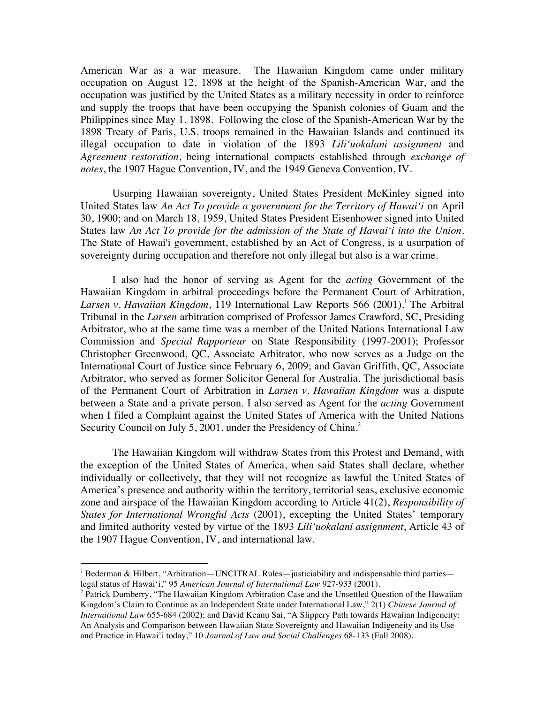American War as a war measure. The Hawaiian Kingdom came under military occupation on August 12, 1898 at the height of the Spanish-American War, and the occupation was justified by the United States as a military necessity in order to reinforce and supply the troops that have been occupying the Spanish colonies of Guam and the Philippines since May 1, 1898. Following the close of the Spanish-American War by the 1898 Treaty of Paris, U.S. troops remained in the Hawaiian Islands and continued its illegal occupation to date in violation of the 1893 *Lili'uokalani assignment* and *Agreement restoration*, being international compacts established through *exchange of notes*, the 1907 Hague Convention, IV, and the 1949 Geneva Convention, IV.

Usurping Hawaiian sovereignty, United States President McKinley signed into United States law *An Act To provide a government for the Territory of Hawai'i* on April 30, 1900; and on March 18, 1959, United States President Eisenhower signed into United States law *An Act To provide for the admission of the State of Hawai'i into the Union*. The State of Hawai'i government, established by an Act of Congress, is a usurpation of sovereignty during occupation and therefore not only illegal but also is a war crime.

I also had the honor of serving as Agent for the *acting* Government of the Hawaiian Kingdom in arbitral proceedings before the Permanent Court of Arbitration, *Larsen v. Hawaiian Kingdom*, 119 International Law Reports 566 (2001).<sup>1</sup> The Arbitral Tribunal in the *Larsen* arbitration comprised of Professor James Crawford, SC, Presiding Arbitrator, who at the same time was a member of the United Nations International Law Commission and *Special Rapporteur* on State Responsibility (1997-2001); Professor Christopher Greenwood, QC, Associate Arbitrator, who now serves as a Judge on the International Court of Justice since February 6, 2009; and Gavan Griffith, QC, Associate Arbitrator, who served as former Solicitor General for Australia. The jurisdictional basis of the Permanent Court of Arbitration in *Larsen v. Hawaiian Kingdom* was a dispute between a State and a private person. I also served as Agent for the *acting* Government when I filed a Complaint against the United States of America with the United Nations Security Council on July 5, 2001, under the Presidency of China.<sup>2</sup>

The Hawaiian Kingdom will withdraw States from this Protest and Demand, with the exception of the United States of America, when said States shall declare, whether individually or collectively, that they will not recognize as lawful the United States of America's presence and authority within the territory, territorial seas, exclusive economic zone and airspace of the Hawaiian Kingdom according to Article 41(2), *Responsibility of States for International Wrongful Acts* (2001), excepting the United States' temporary and limited authority vested by virtue of the 1893 *Lili'uokalani assignment*, Article 43 of the 1907 Hague Convention, IV, and international law.

<sup>&</sup>lt;sup>1</sup> Bederman & Hilbert, "Arbitration—UNCITRAL Rules—justiciability and indispensable third parties legal status of Hawai'i," 95 *American Journal of International Law* 927-933 (2001).

<sup>&</sup>lt;sup>2</sup> Patrick Dumberry, "The Hawaiian Kingdom Arbitration Case and the Unsettled Question of the Hawaiian Kingdom's Claim to Continue as an Independent State under International Law," 2(1) *Chinese Journal of International Law* 655-684 (2002); and David Keanu Sai, "A Slippery Path towards Hawaiian Indigeneity: An Analysis and Comparison between Hawaiian State Sovereignty and Hawaiian Indigeneity and its Use and Practice in Hawai'i today," 10 *Journal of Law and Social Challenges* 68-133 (Fall 2008).